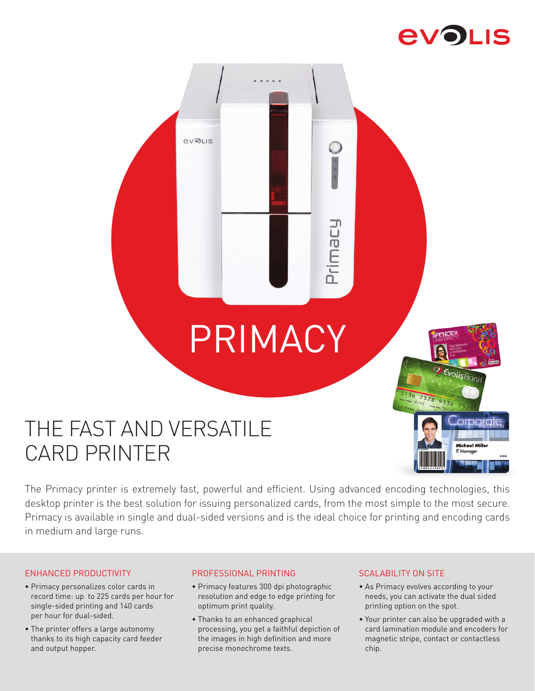# **EVOLIS**

 $E_{\text{Volis}$ 

Michael Miller

# PRIMACY

**Foeuli** 

**EVOLIS** 

# THE FAST AND VERSATILE CARD PRINTER

The Primacy printer is extremely fast, powerful and efficient. Using advanced encoding technologies, this desktop printer is the best solution for issuing personalized cards, from the most simple to the most secure. Primacy is available in single and dual-sided versions and is the ideal choice for printing and encoding cards in medium and large runs.

#### ENHANCED PRODUCTIVITY

- Primacy personalizes color cards in record time: up to 225 cards per hour for single-sided printing and 140 cards per hour for dual-sided.
- The printer offers a large autonomy thanks to its high capacity card feeder and output hopper.

#### PROFESSIONAL PRINTING

- Primacy features 300 dpi photographic resolution and edge to edge printing for optimum print quality.
- Thanks to an enhanced graphical processing, you get a faithful depiction of the images in high definition and more precise monochrome texts.

#### SCALABILITY ON SITE

- As Primacy evolves according to your needs, you can activate the dual sided printing option on the spot.
- Your printer can also be upgraded with a card lamination module and encoders for magnetic stripe, contact or contactless chip.